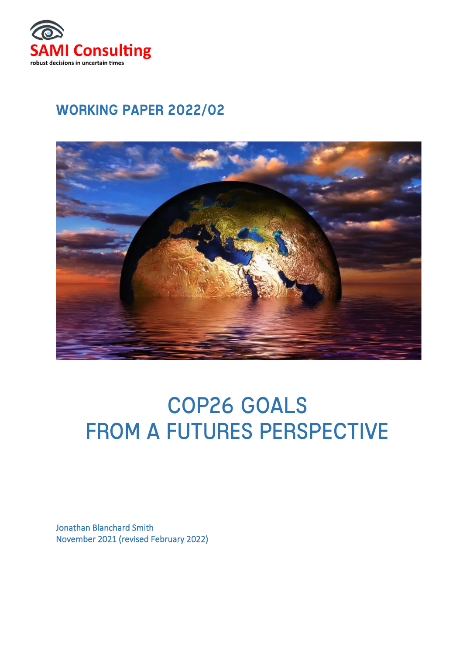

# WORKING PAPER 2022/02



# COP26 GOALS FROM A FUTURES PERSPECTIVE

Jonathan Blanchard Smith November 2021 (revised February 2022)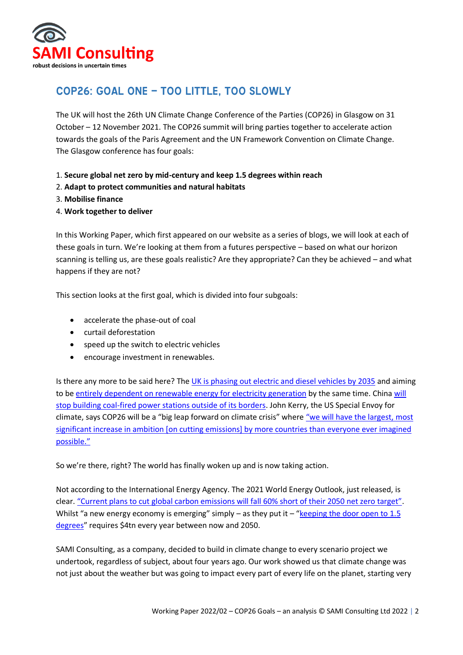

# COP26: Goal One – too little, too slowly

The UK will host the 26th UN Climate Change Conference of the Parties (COP26) in Glasgow on 31 October – 12 November 2021. The COP26 summit will bring parties together to accelerate action towards the goals of the Paris Agreement and the UN Framework Convention on Climate Change. The Glasgow conference has four goals:

- 1. **Secure global net zero by mid-century and keep 1.5 degrees within reach**
- 2. **Adapt to protect communities and natural habitats**
- 3. **Mobilise finance**
- 4. **Work together to deliver**

In this Working Paper, which first appeared on our website as a series of blogs, we will look at each of these goals in turn. We're looking at them from a futures perspective – based on what our horizon scanning is telling us, are these goals realistic? Are they appropriate? Can they be achieved – and what happens if they are not?

This section looks at the first goal, which is divided into four subgoals:

- accelerate the phase-out of coal
- curtail deforestation
- speed up the switch to electric vehicles
- encourage investment in renewables.

Is there any more to be said here? The [UK is phasing out electric and diesel vehicles by 2035](https://www.ft.com/content/fb4d1d64-5d90-4e27-b77f-6e221bc02696) and aiming to b[e entirely dependent on renewable energy for electricity generation](https://www.bbc.com/news/uk-politics-58792261) by the same time. China [will](https://www.nytimes.com/2021/09/22/world/asia/china-coal.html)  [stop building coal-fired power stations outside of its borders.](https://www.nytimes.com/2021/09/22/world/asia/china-coal.html) John Kerry, the US Special Envoy for climate, says COP26 will be a "big leap forward on climate crisis" where "we will have the largest, most [significant increase in ambition \[on cutting emissions\] by more countries than everyone ever imagined](https://www.theguardian.com/environment/2021/oct/11/john-kerry-cop26-climate-summit-starting-line-rest-of-decade)  [possible."](https://www.theguardian.com/environment/2021/oct/11/john-kerry-cop26-climate-summit-starting-line-rest-of-decade)

So we're there, right? The world has finally woken up and is now taking action.

Not according to the International Energy Agency. The 2021 World Energy Outlook, just released, is clear. "Current [plans to cut global carbon emissions will fall 60% short of their 2050 net zero target"](https://www.theguardian.com/environment/2021/oct/13/carbon-emissions-will-drop-just-40-by-2050-with-countries-current-pledges). Whilst "a new energy economy is emerging" simply – as they put it – "keeping the door open to  $1.5$ [degrees](https://www.iea.org/reports/world-energy-outlook-2021)" requires \$4tn every year between now and 2050.

SAMI Consulting, as a company, decided to build in climate change to every scenario project we undertook, regardless of subject, about four years ago. Our work showed us that climate change was not just about the weather but was going to impact every part of every life on the planet, starting very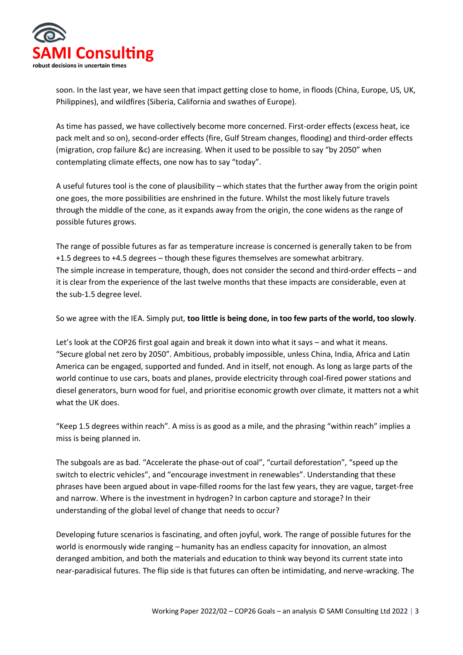

soon. In the last year, we have seen that impact getting close to home, in floods (China, Europe, US, UK, Philippines), and wildfires (Siberia, California and swathes of Europe).

As time has passed, we have collectively become more concerned. First-order effects (excess heat, ice pack melt and so on), second-order effects (fire, Gulf Stream changes, flooding) and third-order effects (migration, crop failure &c) are increasing. When it used to be possible to say "by 2050" when contemplating climate effects, one now has to say "today".

A useful futures tool is the cone of plausibility – which states that the further away from the origin point one goes, the more possibilities are enshrined in the future. Whilst the most likely future travels through the middle of the cone, as it expands away from the origin, the cone widens as the range of possible futures grows.

The range of possible futures as far as temperature increase is concerned is generally taken to be from +1.5 degrees to +4.5 degrees – though these figures themselves are somewhat arbitrary. The simple increase in temperature, though, does not consider the second and third-order effects – and it is clear from the experience of the last twelve months that these impacts are considerable, even at the sub-1.5 degree level.

So we agree with the IEA. Simply put, **too little is being done, in too few parts of the world, too slowly**.

Let's look at the COP26 first goal again and break it down into what it says – and what it means. "Secure global net zero by 2050". Ambitious, probably impossible, unless China, India, Africa and Latin America can be engaged, supported and funded. And in itself, not enough. As long as large parts of the world continue to use cars, boats and planes, provide electricity through coal-fired power stations and diesel generators, burn wood for fuel, and prioritise economic growth over climate, it matters not a whit what the UK does.

"Keep 1.5 degrees within reach". A miss is as good as a mile, and the phrasing "within reach" implies a miss is being planned in.

The subgoals are as bad. "Accelerate the phase-out of coal", "curtail deforestation", "speed up the switch to electric vehicles", and "encourage investment in renewables". Understanding that these phrases have been argued about in vape-filled rooms for the last few years, they are vague, target-free and narrow. Where is the investment in hydrogen? In carbon capture and storage? In their understanding of the global level of change that needs to occur?

Developing future scenarios is fascinating, and often joyful, work. The range of possible futures for the world is enormously wide ranging – humanity has an endless capacity for innovation, an almost deranged ambition, and both the materials and education to think way beyond its current state into near-paradisical futures. The flip side is that futures can often be intimidating, and nerve-wracking. The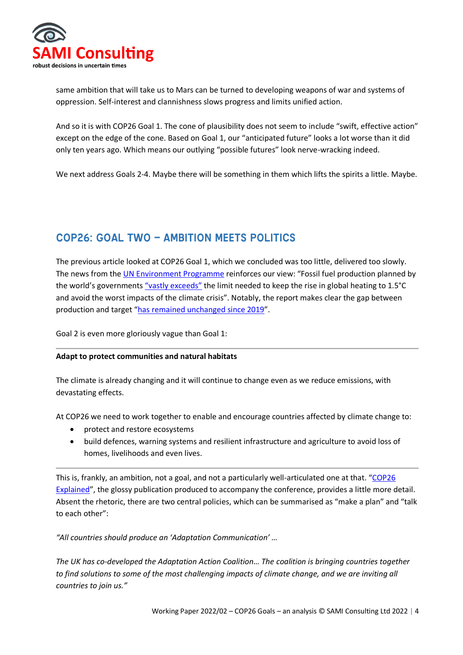

same ambition that will take us to Mars can be turned to developing weapons of war and systems of oppression. Self-interest and clannishness slows progress and limits unified action.

And so it is with COP26 Goal 1. The cone of plausibility does not seem to include "swift, effective action" except on the edge of the cone. Based on Goal 1, our "anticipated future" looks a lot worse than it did only ten years ago. Which means our outlying "possible futures" look nerve-wracking indeed.

We next address Goals 2-4. Maybe there will be something in them which lifts the spirits a little. Maybe.

## COP26: Goal Two – ambition meets politics

The previous article looked at COP26 Goal 1, which we concluded was too little, delivered too slowly. The news from the [UN Environment Programme](https://productiongap.org/wp-content/uploads/2021/10/PGR2021_web.pdf) reinforces our view: "Fossil fuel production planned by the world's governments ["vastly exceeds"](https://www.theguardian.com/environment/2021/oct/20/planned-fossil-fuel-output-vastly-exceeds-climate-limits-says-un) the limit needed to keep the rise in global heating to 1.5°C and avoid the worst impacts of the climate crisis". Notably, the report makes clear the gap between production and target "[has remained unchanged since 2019](https://productiongap.org/2021report/)".

Goal 2 is even more gloriously vague than Goal 1:

#### **Adapt to protect communities and natural habitats**

The climate is already changing and it will continue to change even as we reduce emissions, with devastating effects.

At COP26 we need to work together to enable and encourage countries affected by climate change to:

- protect and restore ecosystems
- build defences, warning systems and resilient infrastructure and agriculture to avoid loss of homes, livelihoods and even lives.

This is, frankly, an ambition, not a goal, and not a particularly well-articulated one at that. "COP26 [Explained](https://ukcop26.org/wp-content/uploads/2021/07/COP26-Explained.pdf)", the glossy publication produced to accompany the conference, provides a little more detail. Absent the rhetoric, there are two central policies, which can be summarised as "make a plan" and "talk to each other":

*"All countries should produce an 'Adaptation Communication' …*

*The UK has co-developed the Adaptation Action Coalition… The coalition is bringing countries together to find solutions to some of the most challenging impacts of climate change, and we are inviting all countries to join us."*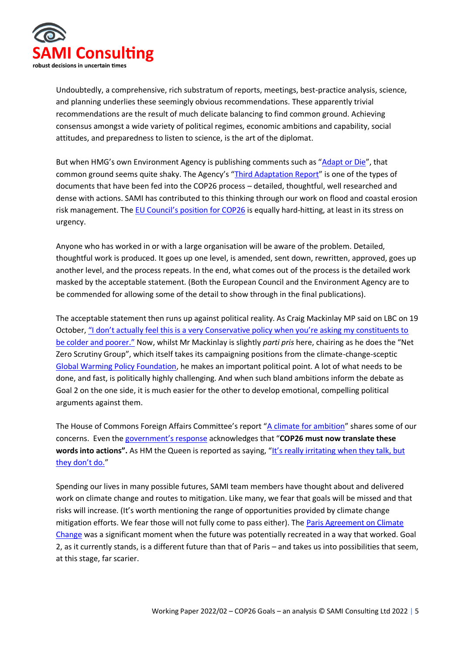

Undoubtedly, a comprehensive, rich substratum of reports, meetings, best-practice analysis, science, and planning underlies these seemingly obvious recommendations. These apparently trivial recommendations are the result of much delicate balancing to find common ground. Achieving consensus amongst a wide variety of political regimes, economic ambitions and capability, social attitudes, and preparedness to listen to science, is the art of the diplomat.

But when HMG's own Environment Agency is publishing comments such as "[Adapt or Die](https://www.gov.uk/government/news/adapt-or-die-says-environment-agency)", that common ground seems quite shaky. The Agency's "[Third Adaptation Report](https://www.gov.uk/government/publications/climate-adaptation-reporting-third-round-environment-agency)" is one of the types of documents that have been fed into the COP26 process – detailed, thoughtful, well researched and dense with actions. SAMI has contributed to this thinking through our work on flood and coastal erosion risk management. The [EU Council's position for COP26](https://data.consilium.europa.eu/doc/document/ST-12594-2021-INIT/en/pdf) is equally hard-hitting, at least in its stress on urgency.

Anyone who has worked in or with a large organisation will be aware of the problem. Detailed, thoughtful work is produced. It goes up one level, is amended, sent down, rewritten, approved, goes up another level, and the process repeats. In the end, what comes out of the process is the detailed work masked by the acceptable statement. (Both the European Council and the Environment Agency are to be commended for allowing some of the detail to show through in the final publications).

The acceptable statement then runs up against political reality. As Craig Mackinlay MP said on LBC on 19 October, ["I don't actually feel this is a very Conservative policy when you're asking my constituents to](https://www.lbc.co.uk/radio/presenters/iain-dale/governments-net-zero-plan-madness-hits-poorer-people/)  [be colder and poorer."](https://www.lbc.co.uk/radio/presenters/iain-dale/governments-net-zero-plan-madness-hits-poorer-people/) Now, whilst Mr Mackinlay is slightly *parti pris* here, chairing as he does the "Net Zero Scrutiny Group", which itself takes its campaigning positions from the climate-change-sceptic [Global Warming Policy Foundation,](https://www.thegwpf.org/) he makes an important political point. A lot of what needs to be done, and fast, is politically highly challenging. And when such bland ambitions inform the debate as Goal 2 on the one side, it is much easier for the other to develop emotional, compelling political arguments against them.

The House of Commons Foreign Affairs Committee's report "[A climate for ambition](https://committees.parliament.uk/publications/5491/documents/54690/default/)" shares some of our concerns. Even the [government's response](https://publications.parliament.uk/pa/cm5802/cmselect/cmfaff/440/44002.htm) acknowledges that "**COP26 must now translate these words into actions".** As HM the Queen is reported as saying, ["It's really irritating when they talk, but](https://www.theguardian.com/uk-news/2021/oct/14/queen-irritated-by-world-leaders-talking-not-doing-on-climate-change)  [they don't do."](https://www.theguardian.com/uk-news/2021/oct/14/queen-irritated-by-world-leaders-talking-not-doing-on-climate-change)

Spending our lives in many possible futures, SAMI team members have thought about and delivered work on climate change and routes to mitigation. Like many, we fear that goals will be missed and that risks will increase. (It's worth mentioning the range of opportunities provided by climate change mitigation efforts. We fear those will not fully come to pass either). The [Paris Agreement on Climate](https://unfccc.int/process-and-meetings/the-paris-agreement/the-paris-agreement)  [Change](https://unfccc.int/process-and-meetings/the-paris-agreement/the-paris-agreement) was a significant moment when the future was potentially recreated in a way that worked. Goal 2, as it currently stands, is a different future than that of Paris – and takes us into possibilities that seem, at this stage, far scarier.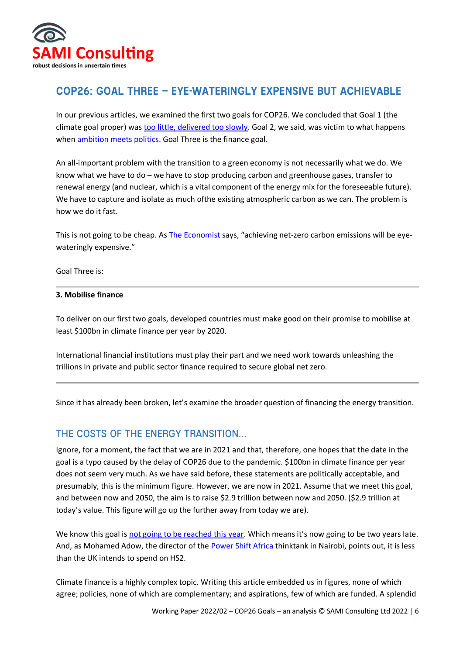

#### COP26: Goal Three – Eye-wateringly expensive but achievable

In our previous articles, we examined the first two goals for COP26. We concluded that Goal 1 (the climate goal proper) was [too little, delivered too slowly.](https://samiconsulting.co.uk/cop26-goal-one-too-little-too-slowly/) Goal 2, we said, was victim to what happens when **ambition meets politics**. Goal Three is the finance goal.

An all-important problem with the transition to a green economy is not necessarily what we do. We know what we have to do – we have to stop producing carbon and greenhouse gases, transfer to renewal energy (and nuclear, which is a vital component of the energy mix for the foreseeable future). We have to capture and isolate as much ofthe existing atmospheric carbon as we can. The problem is how we do it fast.

This is not going to be cheap. As [The Economist](https://www.economist.com/britain/2021/07/17/achieving-net-zero-carbon-emissions-will-be-eye-wateringly-expensive) says, "achieving net-zero carbon emissions will be eyewateringly expensive."

Goal Three is:

#### **3. Mobilise finance**

To deliver on our first two goals, developed countries must make good on their promise to mobilise at least \$100bn in climate finance per year by 2020.

International financial institutions must play their part and we need work towards unleashing the trillions in private and public sector finance required to secure global net zero.

Since it has already been broken, let's examine the broader question of financing the energy transition.

#### The costs of the energy transition…

Ignore, for a moment, the fact that we are in 2021 and that, therefore, one hopes that the date in the goal is a typo caused by the delay of COP26 due to the pandemic. \$100bn in climate finance per year does not seem very much. As we have said before, these statements are politically acceptable, and presumably, this is the minimum figure. However, we are now in 2021. Assume that we meet this goal, and between now and 2050, the aim is to raise \$2.9 trillion between now and 2050. (\$2.9 trillion at today's value. This figure will go up the further away from today we are).

We know this goal is [not going to be reached this year](https://www.theguardian.com/environment/2021/oct/25/climate-finance-poor-countries-hit-100bn-target-by-2023-says-report). Which means it's now going to be two years late. And, as Mohamed Adow, the director of the [Power Shift Africa](https://twitter.com/PowerShftAfrica/status/1452634628326662145) thinktank in Nairobi, points out, it is less than the UK intends to spend on HS2.

Climate finance is a highly complex topic. Writing this article embedded us in figures, none of which agree; policies, none of which are complementary; and aspirations, few of which are funded. A splendid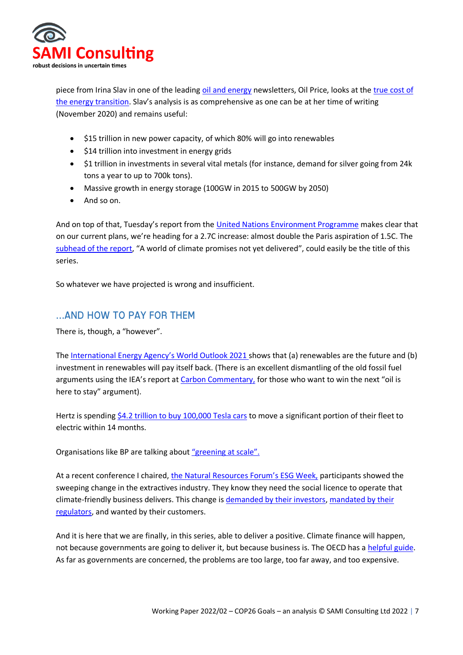

piece from Irina Slav in one of the leading [oil and energy](https://oilprice.com/) newsletters, Oil Price, looks at the [true cost of](https://oilprice.com/Energy/Energy-General/The-True-Cost-Of-The-Global-Energy-Transition.html)  [the energy transition](https://oilprice.com/Energy/Energy-General/The-True-Cost-Of-The-Global-Energy-Transition.html). Slav's analysis is as comprehensive as one can be at her time of writing (November 2020) and remains useful:

- \$15 trillion in new power capacity, of which 80% will go into renewables
- \$14 trillion into investment in energy grids
- \$1 trillion in investments in several vital metals (for instance, demand for silver going from 24k tons a year to up to 700k tons).
- Massive growth in energy storage (100GW in 2015 to 500GW by 2050)
- And so on.

And on top of that, Tuesday's report from the [United Nations Environment Programme](https://www.unep.org/) makes clear that on our current plans, we're heading for a 2.7C increase: almost double the Paris aspiration of 1.5C. The [subhead of the report](https://www.unep.org/resources/emissions-gap-report-2021), "A world of climate promises not yet delivered", could easily be the title of this series.

So whatever we have projected is wrong and insufficient.

#### …and how to pay for them

There is, though, a "however".

The [International Energy Agency's World Outlook 2021](https://www.iea.org/events/world-energy-outlook-2021-launch-event) shows that (a) renewables are the future and (b) investment in renewables will pay itself back. (There is an excellent dismantling of the old fossil fuel arguments using the IEA's report a[t Carbon Commentary,](https://www.carboncommentary.com/blog/2021/10/13/the-iea-finally-starts-to-believe-in-the-energy-transition-a-note-from-kingsmill-bond) for those who want to win the next "oil is here to stay" argument).

Hertz is spending [\\$4.2 trillion to buy 100,000 Tesla cars](https://www.bloomberg.com/news/articles/2021-10-25/hertz-said-to-order-100-000-teslas-in-car-rental-market-shake-up) to move a significant portion of their fleet to electric within 14 months.

Organisations like BP are talking about ["greening at scale".](https://www.bp.com/en/global/corporate/news-and-insights/greening-companies.html?utm_source=google&utm_medium=cpc&utm_campaign=uk_greening_direct&utm_term=bp%20climate%20change&gclid=Cj0KCQjw8eOLBhC1ARIsAOzx5cELAqWs_iIipPzpuRId__IFLYb6ZvW2YSg_IHO1OWnztVD9s4YR_eUaApX7EALw_wcB)

At a recent conference I chaired, [the Natural Resources Forum's ESG Week,](https://naturalresourcesforum.com/events/event/esg-challenges-2021/) participants showed the sweeping change in the extractives industry. They know they need the social licence to operate that climate-friendly business delivers. This change i[s demanded by their investors,](https://www.blackrock.com/us/individual/investment-ideas/sustainable-investing) [mandated by their](https://www.bloomberg.com/news/articles/2021-09-01/regulatory-scrutiny-of-esg-greenwashing-is-intensifying)  [regulators,](https://www.bloomberg.com/news/articles/2021-09-01/regulatory-scrutiny-of-esg-greenwashing-is-intensifying) and wanted by their customers.

And it is here that we are finally, in this series, able to deliver a positive. Climate finance will happen, not because governments are going to deliver it, but because business is. The OECD has a [helpful guide.](https://www.oecd.org/environment/cc/climate-futures/policy-highlights-financing-climate-futures.pdf) As far as governments are concerned, the problems are too large, too far away, and too expensive.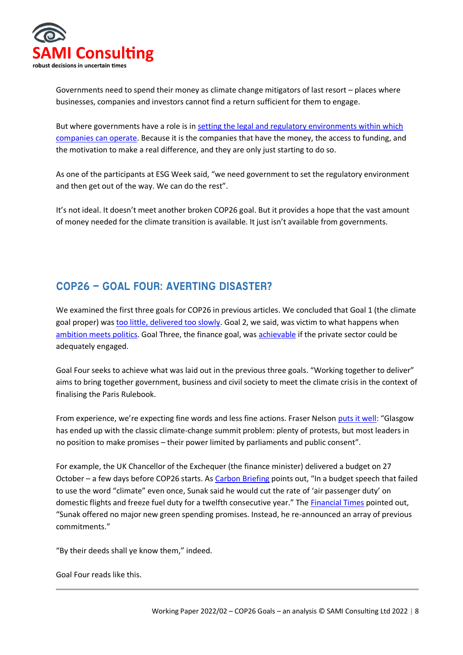

Governments need to spend their money as climate change mitigators of last resort – places where businesses, companies and investors cannot find a return sufficient for them to engage.

But where governments have a role is in [setting the legal and regulatory environments within which](https://www.weforum.org/agenda/2019/09/will-the-energy-transition-happen-fast-enough-two-scenarios/)  [companies can operate.](https://www.weforum.org/agenda/2019/09/will-the-energy-transition-happen-fast-enough-two-scenarios/) Because it is the companies that have the money, the access to funding, and the motivation to make a real difference, and they are only just starting to do so.

As one of the participants at ESG Week said, "we need government to set the regulatory environment and then get out of the way. We can do the rest".

It's not ideal. It doesn't meet another broken COP26 goal. But it provides a hope that the vast amount of money needed for the climate transition is available. It just isn't available from governments.

## COP26 – Goal Four: Averting disaster?

We examined the first three goals for COP26 in previous articles. We concluded that Goal 1 (the climate goal proper) wa[s too little, delivered too slowly.](https://samiconsulting.co.uk/cop26-goal-one-too-little-too-slowly/) Goal 2, we said, was victim to what happens when [ambition meets politics.](https://samiconsulting.co.uk/cop26-goal-two-ambition-meets-politics/) Goal Three, the finance goal, wa[s achievable](https://samiconsulting.co.uk/cop26-goal-three-eye-wateringly-expensive-but-achievable/) if the private sector could be adequately engaged.

Goal Four seeks to achieve what was laid out in the previous three goals. "Working together to deliver" aims to bring together government, business and civil society to meet the climate crisis in the context of finalising the Paris Rulebook.

From experience, we're expecting fine words and less fine actions. Fraser Nelson [puts it well](https://www.spectator.co.uk/article/cop-out-boriss-battle-to-save-the-climate-summit): "Glasgow has ended up with the classic climate-change summit problem: plenty of protests, but most leaders in no position to make promises – their power limited by parliaments and public consent".

For example, the UK Chancellor of the Exchequer (the finance minister) delivered a budget on 27 October – a few days before COP26 starts. As [Carbon Briefing](https://www.carbonbrief.org/autumn-budget-2021-key-climate-and-energy-announcements) points out, "In a budget speech that failed to use the word "climate" even once, Sunak said he would cut the rate of 'air passenger duty' on domestic flights and freeze fuel duty for a twelfth consecutive year." The [Financial Times](https://www.ft.com/content/998ebb23-8dfb-49fb-91b7-821001d8e081) pointed out, "Sunak offered no major new green spending promises. Instead, he re-announced an array of previous commitments."

"By their deeds shall ye know them," indeed.

Goal Four reads like this.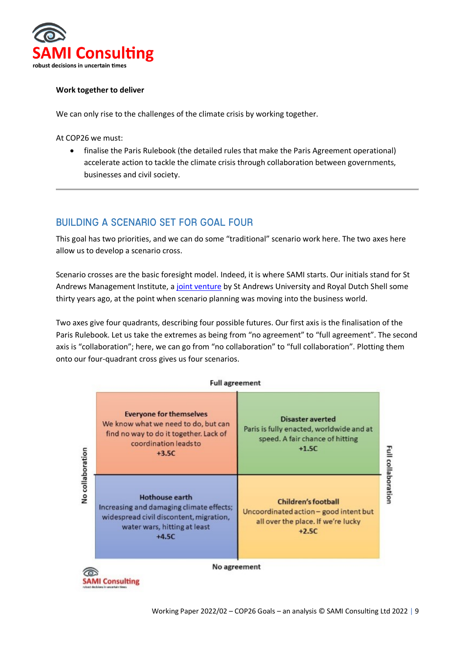

#### **Work together to deliver**

We can only rise to the challenges of the climate crisis by working together.

At COP26 we must:

• finalise the Paris Rulebook (the detailed rules that make the Paris Agreement operational) accelerate action to tackle the climate crisis through collaboration between governments, businesses and civil society.

#### Building a scenario set for Goal Four

This goal has two priorities, and we can do some "traditional" scenario work here. The two axes here allow us to develop a scenario cross.

Scenario crosses are the basic foresight model. Indeed, it is where SAMI starts. Our initials stand for St Andrews Management Institute, a [joint venture](https://samiconsulting.co.uk/about-us/) by St Andrews University and Royal Dutch Shell some thirty years ago, at the point when scenario planning was moving into the business world.

Two axes give four quadrants, describing four possible futures. Our first axis is the finalisation of the Paris Rulebook. Let us take the extremes as being from "no agreement" to "full agreement". The second axis is "collaboration"; here, we can go from "no collaboration" to "full collaboration". Plotting them onto our four-quadrant cross gives us four scenarios.

#### **Full agreement**



**SAMI Consulting**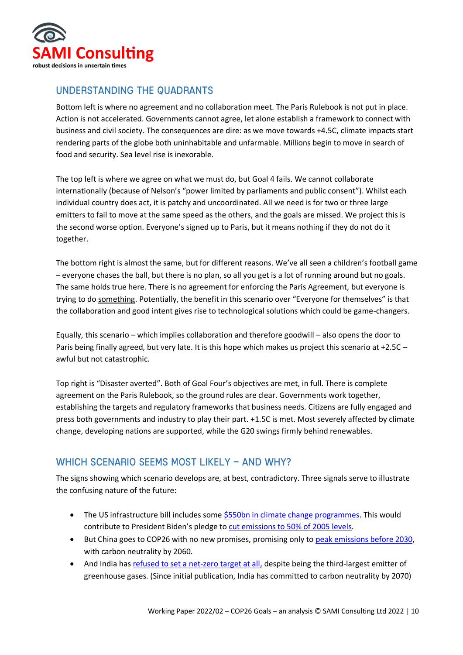

#### Understanding the quadrants

Bottom left is where no agreement and no collaboration meet. The Paris Rulebook is not put in place. Action is not accelerated. Governments cannot agree, let alone establish a framework to connect with business and civil society. The consequences are dire: as we move towards +4.5C, climate impacts start rendering parts of the globe both uninhabitable and unfarmable. Millions begin to move in search of food and security. Sea level rise is inexorable.

The top left is where we agree on what we must do, but Goal 4 fails. We cannot collaborate internationally (because of Nelson's "power limited by parliaments and public consent"). Whilst each individual country does act, it is patchy and uncoordinated. All we need is for two or three large emitters to fail to move at the same speed as the others, and the goals are missed. We project this is the second worse option. Everyone's signed up to Paris, but it means nothing if they do not do it together.

The bottom right is almost the same, but for different reasons. We've all seen a children's football game – everyone chases the ball, but there is no plan, so all you get is a lot of running around but no goals. The same holds true here. There is no agreement for enforcing the Paris Agreement, but everyone is trying to do something. Potentially, the benefit in this scenario over "Everyone for themselves" is that the collaboration and good intent gives rise to technological solutions which could be game-changers.

Equally, this scenario – which implies collaboration and therefore goodwill – also opens the door to Paris being finally agreed, but very late. It is this hope which makes us project this scenario at +2.5C – awful but not catastrophic.

Top right is "Disaster averted". Both of Goal Four's objectives are met, in full. There is complete agreement on the Paris Rulebook, so the ground rules are clear. Governments work together, establishing the targets and regulatory frameworks that business needs. Citizens are fully engaged and press both governments and industry to play their part. +1.5C is met. Most severely affected by climate change, developing nations are supported, while the G20 swings firmly behind renewables.

#### WHICH SCENARIO SEEMS MOST LIKELY - AND WHY?

The signs showing which scenario develops are, at best, contradictory. Three signals serve to illustrate the confusing nature of the future:

- The US infrastructure bill includes some [\\$550bn in climate change programmes.](https://www.politico.com/news/2021/10/26/climate-spending-555-billion-517295) This would contribute to President Biden's pledge to [cut emissions to 50% of 2005 levels.](https://www.ft.com/content/32f5e2cd-4689-4434-9da0-d97d46673eaf)
- But China goes to COP26 with no new promises, promising only to [peak emissions before 2030,](https://www.axios.com/china-emissions-cop26-climate-summit-global-warming-383647ba-42f8-4a02-9009-64708c114ff5.html) with carbon neutrality by 2060.
- And India has [refused to set a net-zero target at all,](https://www.axios.com/india-rejects-net-zero-carbon-emissions-target-cop26-7350e1a2-e74c-48e3-b877-7a2ca58e681a.html) despite being the third-largest emitter of greenhouse gases. (Since initial publication, India has committed to carbon neutrality by 2070)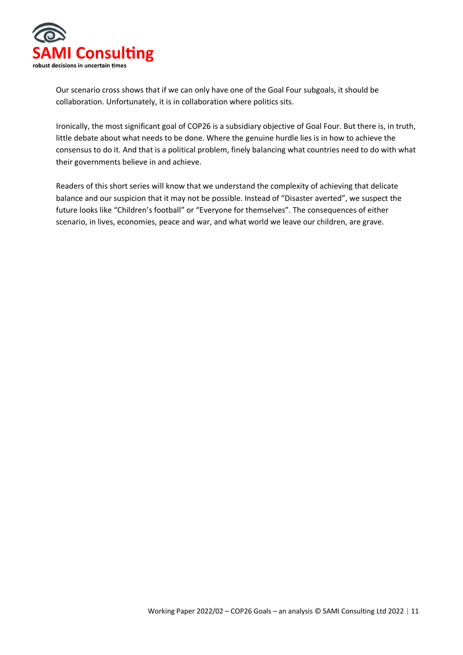

Our scenario cross shows that if we can only have one of the Goal Four subgoals, it should be collaboration. Unfortunately, it is in collaboration where politics sits.

Ironically, the most significant goal of COP26 is a subsidiary objective of Goal Four. But there is, in truth, little debate about what needs to be done. Where the genuine hurdle lies is in how to achieve the consensus to do it. And that is a political problem, finely balancing what countries need to do with what their governments believe in and achieve.

Readers of this short series will know that we understand the complexity of achieving that delicate balance and our suspicion that it may not be possible. Instead of "Disaster averted", we suspect the future looks like "Children's football" or "Everyone for themselves". The consequences of either scenario, in lives, economies, peace and war, and what world we leave our children, are grave.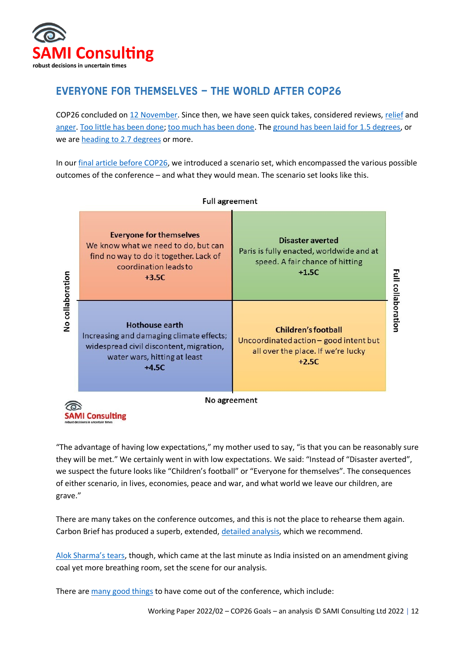

# Everyone for themselves – the world after COP26

COP26 concluded on [12 November.](https://ukcop26.org/) Since then, we have seen quick takes, considered reviews, [relief](https://www.weforum.org/agenda/2021/11/cop26-outcomes-reasons-for-hope-progress/) and [anger.](https://reliefweb.int/report/world/cop-26-climate-conference-failed-south) [Too little has been done;](https://news.un.org/en/story/2021/11/1105792) [too much has been done.](https://www.aei.org/politics-and-public-opinion/its-time-to-cancel-the-climate-crisis/) Th[e ground has been laid for 1.5 degrees,](https://twitter.com/COP26/status/1459610589433638919) or we are [heading to 2.7 degrees](https://climateactiontracker.org/press/Glasgows-one-degree-2030-credibility-gap-net-zeros-lip-service-to-climate-action/) or more.

In our final article [before COP26,](https://samiconsulting.co.uk/cop26-goal-four-averting-disaster/) we introduced a scenario set, which encompassed the various possible outcomes of the conference – and what they would mean. The scenario set looks like this.



"The advantage of having low expectations," my mother used to say, "is that you can be reasonably sure they will be met." We certainly went in with low expectations. We said: "Instead of "Disaster averted", we suspect the future looks like "Children's football" or "Everyone for themselves". The consequences of either scenario, in lives, economies, peace and war, and what world we leave our children, are grave."

There are many takes on the conference outcomes, and this is not the place to rehearse them again. Carbon Brief has produced a superb, extended, [detailed analysis,](https://www.carbonbrief.org/cop26-key-outcomes-agreed-at-the-un-climate-talks-in-glasgow) which we recommend.

[Alok Sharma's tears](https://www.bbc.com/news/av/world-59276651), though, which came at the last minute as India insisted on an amendment giving coal yet more breathing room, set the scene for our analysis.

There are [many good things](https://www.inverse.com/science/cop26-silver-linings) to have come out of the conference, which include: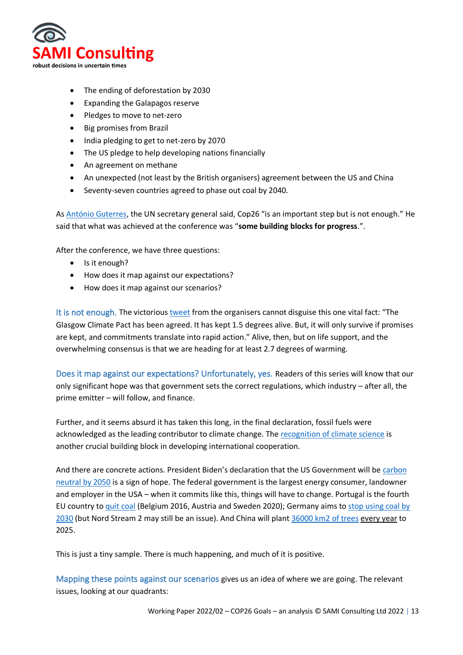

- The ending of deforestation by 2030
- Expanding the Galapagos reserve
- Pledges to move to net-zero
- Big promises from Brazil
- India pledging to get to net-zero by 2070
- The US pledge to help developing nations financially
- An agreement on methane
- An unexpected (not least by the British organisers) agreement between the US and China
- Seventy-seven countries agreed to phase out coal by 2040.

As [António Guterres,](https://www.un.org/sg/en) the UN secretary general said, Cop26 "is an important step but is not enough." He said that what was achieved at the conference was "**some building blocks for progress**.".

After the conference, we have three questions:

- Is it enough?
- How does it map against our expectations?
- How does it map against our scenarios?

It is not enough. The victoriou[s tweet](https://twitter.com/COP26/status/1459610589433638919) from the organisers cannot disguise this one vital fact: "The Glasgow Climate Pact has been agreed. It has kept 1.5 degrees alive. But, it will only survive if promises are kept, and commitments translate into rapid action." Alive, then, but on life support, and the overwhelming consensus is that we are heading for at least 2.7 degrees of warming.

Does it map against our expectations? Unfortunately, yes. Readers of this series will know that our only significant hope was that government sets the correct regulations, which industry – after all, the prime emitter – will follow, and finance.

Further, and it seems absurd it has taken this long, in the final declaration, fossil fuels were acknowledged as the leading contributor to climate change. The [recognition of climate science](https://www.carbonbrief.org/guest-post-how-cop26-finally-recognised-the-latest-ipcc-climate-science) is another crucial building block in developing international cooperation.

And there are concrete actions. President Biden's declaration that the US Government will be carbon [neutral by 2050](https://www.theguardian.com/us-news/2021/dec/08/biden-signs-order-government-net-zero-emissions-2050) is a sign of hope. The federal government is the largest energy consumer, landowner and employer in the USA – when it commits like this, things will have to change. Portugal is the fourth EU country to [quit coal](https://apnews.com/article/business-environment-and-nature-europe-portugal-european-union-b09d32a0ee8c661f6932d79bda9d2d19) (Belgium 2016, Austria and Sweden 2020); Germany aims to [stop using coal by](https://www.reuters.com/markets/commodities/german-coalition-commits-faster-decarbonisation-2021-11-24/)  [2030](https://www.reuters.com/markets/commodities/german-coalition-commits-faster-decarbonisation-2021-11-24/) (but Nord Stream 2 may still be an issue). And China will plant [36000 km2 of trees](https://www.reuters.com/world/china/china-step-up-tree-planting-campaign-help-reach-net-zero-2021-08-20/) every year to 2025.

This is just a tiny sample. There is much happening, and much of it is positive.

Mapping these points against our scenarios gives us an idea of where we are going. The relevant issues, looking at our quadrants: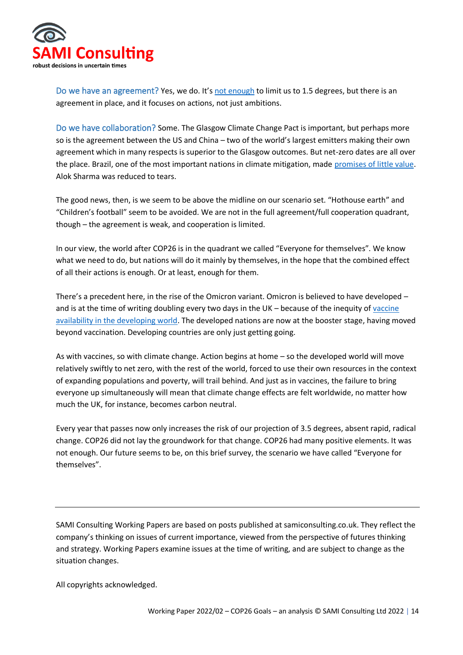

Do we have an agreement? Yes, we do. It's [not enough](https://www.nature.com/articles/d41586-021-03431-4) to limit us to 1.5 degrees, but there is an agreement in place, and it focuses on actions, not just ambitions.

Do we have collaboration? Some. The Glasgow Climate Change Pact is important, but perhaps more so is the agreement between the US and China – two of the world's largest emitters making their own agreement which in many respects is superior to the Glasgow outcomes. But net-zero dates are all over the place. Brazil, one of the most important nations in climate mitigation, made [promises of little value.](https://www.theatlantic.com/international/archive/2021/11/the-real-reason-behind-bolsonaros-climate-promises/620666/) Alok Sharma was reduced to tears.

The good news, then, is we seem to be above the midline on our scenario set. "Hothouse earth" and "Children's football" seem to be avoided. We are not in the full agreement/full cooperation quadrant, though – the agreement is weak, and cooperation is limited.

In our view, the world after COP26 is in the quadrant we called "Everyone for themselves". We know what we need to do, but nations will do it mainly by themselves, in the hope that the combined effect of all their actions is enough. Or at least, enough for them.

There's a precedent here, in the rise of the Omicron variant. Omicron is believed to have developed and is at the time of writing doubling every two days in the UK – because of the inequity of [vaccine](https://www.nbcnews.com/news/world/omicron-linked-global-vaccine-inequality-experts-rcna6916)  [availability in the developing world.](https://www.nbcnews.com/news/world/omicron-linked-global-vaccine-inequality-experts-rcna6916) The developed nations are now at the booster stage, having moved beyond vaccination. Developing countries are only just getting going.

As with vaccines, so with climate change. Action begins at home – so the developed world will move relatively swiftly to net zero, with the rest of the world, forced to use their own resources in the context of expanding populations and poverty, will trail behind. And just as in vaccines, the failure to bring everyone up simultaneously will mean that climate change effects are felt worldwide, no matter how much the UK, for instance, becomes carbon neutral.

Every year that passes now only increases the risk of our projection of 3.5 degrees, absent rapid, radical change. COP26 did not lay the groundwork for that change. COP26 had many positive elements. It was not enough. Our future seems to be, on this brief survey, the scenario we have called "Everyone for themselves".

SAMI Consulting Working Papers are based on posts published at samiconsulting.co.uk. They reflect the company's thinking on issues of current importance, viewed from the perspective of futures thinking and strategy. Working Papers examine issues at the time of writing, and are subject to change as the situation changes.

All copyrights acknowledged.